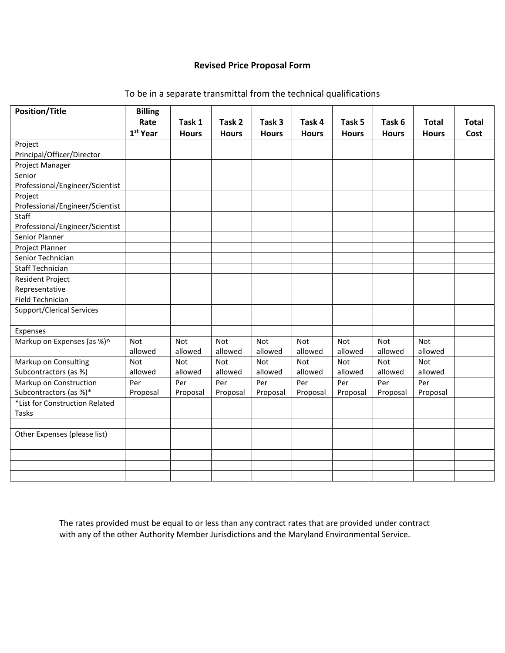## **Revised Price Proposal Form**

| <b>Position/Title</b>            | <b>Billing</b><br>Rate | Task 1       | Task 2       | Task 3       | Task 4       | Task 5       | Task 6       | <b>Total</b> | <b>Total</b> |
|----------------------------------|------------------------|--------------|--------------|--------------|--------------|--------------|--------------|--------------|--------------|
|                                  | 1 <sup>st</sup> Year   | <b>Hours</b> | <b>Hours</b> | <b>Hours</b> | <b>Hours</b> | <b>Hours</b> | <b>Hours</b> | <b>Hours</b> | Cost         |
| Project                          |                        |              |              |              |              |              |              |              |              |
| Principal/Officer/Director       |                        |              |              |              |              |              |              |              |              |
| Project Manager                  |                        |              |              |              |              |              |              |              |              |
| Senior                           |                        |              |              |              |              |              |              |              |              |
| Professional/Engineer/Scientist  |                        |              |              |              |              |              |              |              |              |
| Project                          |                        |              |              |              |              |              |              |              |              |
| Professional/Engineer/Scientist  |                        |              |              |              |              |              |              |              |              |
| Staff                            |                        |              |              |              |              |              |              |              |              |
| Professional/Engineer/Scientist  |                        |              |              |              |              |              |              |              |              |
| Senior Planner                   |                        |              |              |              |              |              |              |              |              |
| Project Planner                  |                        |              |              |              |              |              |              |              |              |
| Senior Technician                |                        |              |              |              |              |              |              |              |              |
| <b>Staff Technician</b>          |                        |              |              |              |              |              |              |              |              |
| <b>Resident Project</b>          |                        |              |              |              |              |              |              |              |              |
| Representative                   |                        |              |              |              |              |              |              |              |              |
| Field Technician                 |                        |              |              |              |              |              |              |              |              |
| <b>Support/Clerical Services</b> |                        |              |              |              |              |              |              |              |              |
|                                  |                        |              |              |              |              |              |              |              |              |
| Expenses                         |                        |              |              |              |              |              |              |              |              |
| Markup on Expenses (as %)^       | <b>Not</b>             | Not          | Not          | Not          | Not          | <b>Not</b>   | Not          | Not          |              |
|                                  | allowed                | allowed      | allowed      | allowed      | allowed      | allowed      | allowed      | allowed      |              |
| Markup on Consulting             | Not                    | Not          | Not          | Not          | Not          | Not          | Not          | Not          |              |
| Subcontractors (as %)            | allowed                | allowed      | allowed      | allowed      | allowed      | allowed      | allowed      | allowed      |              |
| Markup on Construction           | Per                    | Per          | Per          | Per          | Per          | Per          | Per          | Per          |              |
| Subcontractors (as %)*           | Proposal               | Proposal     | Proposal     | Proposal     | Proposal     | Proposal     | Proposal     | Proposal     |              |
| *List for Construction Related   |                        |              |              |              |              |              |              |              |              |
| Tasks                            |                        |              |              |              |              |              |              |              |              |
|                                  |                        |              |              |              |              |              |              |              |              |
| Other Expenses (please list)     |                        |              |              |              |              |              |              |              |              |
|                                  |                        |              |              |              |              |              |              |              |              |
|                                  |                        |              |              |              |              |              |              |              |              |
|                                  |                        |              |              |              |              |              |              |              |              |
|                                  |                        |              |              |              |              |              |              |              |              |

To be in a separate transmittal from the technical qualifications

The rates provided must be equal to or less than any contract rates that are provided under contract with any of the other Authority Member Jurisdictions and the Maryland Environmental Service.